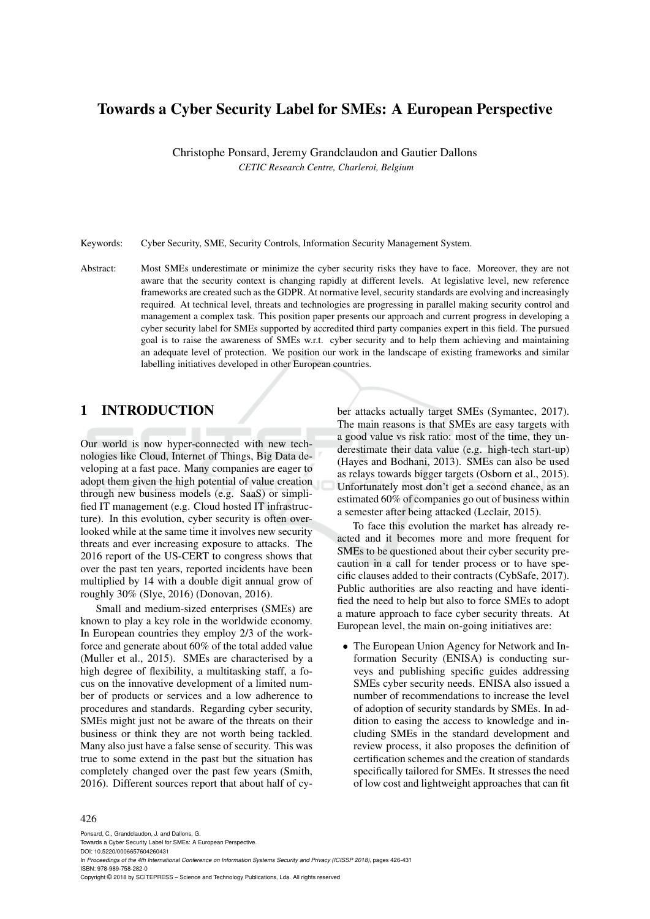# Towards a Cyber Security Label for SMEs: A European Perspective

Christophe Ponsard, Jeremy Grandclaudon and Gautier Dallons *CETIC Research Centre, Charleroi, Belgium*

Keywords: Cyber Security, SME, Security Controls, Information Security Management System.

Abstract: Most SMEs underestimate or minimize the cyber security risks they have to face. Moreover, they are not aware that the security context is changing rapidly at different levels. At legislative level, new reference frameworks are created such as the GDPR. At normative level, security standards are evolving and increasingly required. At technical level, threats and technologies are progressing in parallel making security control and management a complex task. This position paper presents our approach and current progress in developing a cyber security label for SMEs supported by accredited third party companies expert in this field. The pursued goal is to raise the awareness of SMEs w.r.t. cyber security and to help them achieving and maintaining an adequate level of protection. We position our work in the landscape of existing frameworks and similar labelling initiatives developed in other European countries.

## 1 INTRODUCTION

Our world is now hyper-connected with new technologies like Cloud, Internet of Things, Big Data developing at a fast pace. Many companies are eager to adopt them given the high potential of value creation through new business models (e.g. SaaS) or simplified IT management (e.g. Cloud hosted IT infrastructure). In this evolution, cyber security is often overlooked while at the same time it involves new security threats and ever increasing exposure to attacks. The 2016 report of the US-CERT to congress shows that over the past ten years, reported incidents have been multiplied by 14 with a double digit annual grow of roughly 30% (Slye, 2016) (Donovan, 2016).

Small and medium-sized enterprises (SMEs) are known to play a key role in the worldwide economy. In European countries they employ 2/3 of the workforce and generate about 60% of the total added value (Muller et al., 2015). SMEs are characterised by a high degree of flexibility, a multitasking staff, a focus on the innovative development of a limited number of products or services and a low adherence to procedures and standards. Regarding cyber security, SMEs might just not be aware of the threats on their business or think they are not worth being tackled. Many also just have a false sense of security. This was true to some extend in the past but the situation has completely changed over the past few years (Smith, 2016). Different sources report that about half of cyber attacks actually target SMEs (Symantec, 2017). The main reasons is that SMEs are easy targets with a good value vs risk ratio: most of the time, they underestimate their data value (e.g. high-tech start-up) (Hayes and Bodhani, 2013). SMEs can also be used as relays towards bigger targets (Osborn et al., 2015). Unfortunately most don't get a second chance, as an estimated 60% of companies go out of business within a semester after being attacked (Leclair, 2015).

To face this evolution the market has already reacted and it becomes more and more frequent for SMEs to be questioned about their cyber security precaution in a call for tender process or to have specific clauses added to their contracts (CybSafe, 2017). Public authorities are also reacting and have identified the need to help but also to force SMEs to adopt a mature approach to face cyber security threats. At European level, the main on-going initiatives are:

• The European Union Agency for Network and Information Security (ENISA) is conducting surveys and publishing specific guides addressing SMEs cyber security needs. ENISA also issued a number of recommendations to increase the level of adoption of security standards by SMEs. In addition to easing the access to knowledge and including SMEs in the standard development and review process, it also proposes the definition of certification schemes and the creation of standards specifically tailored for SMEs. It stresses the need of low cost and lightweight approaches that can fit

#### 426

Ponsard, C., Grandclaudon, J. and Dallons, G. Towards a Cyber Security Label for SMEs: A European Perspective.

DOI: 10.5220/0006657604260431

In *Proceedings of the 4th International Conference on Information Systems Security and Privacy (ICISSP 2018)*, pages 426-431 ISBN: 978-989-758-282-0

Copyright © 2018 by SCITEPRESS – Science and Technology Publications, Lda. All rights reserved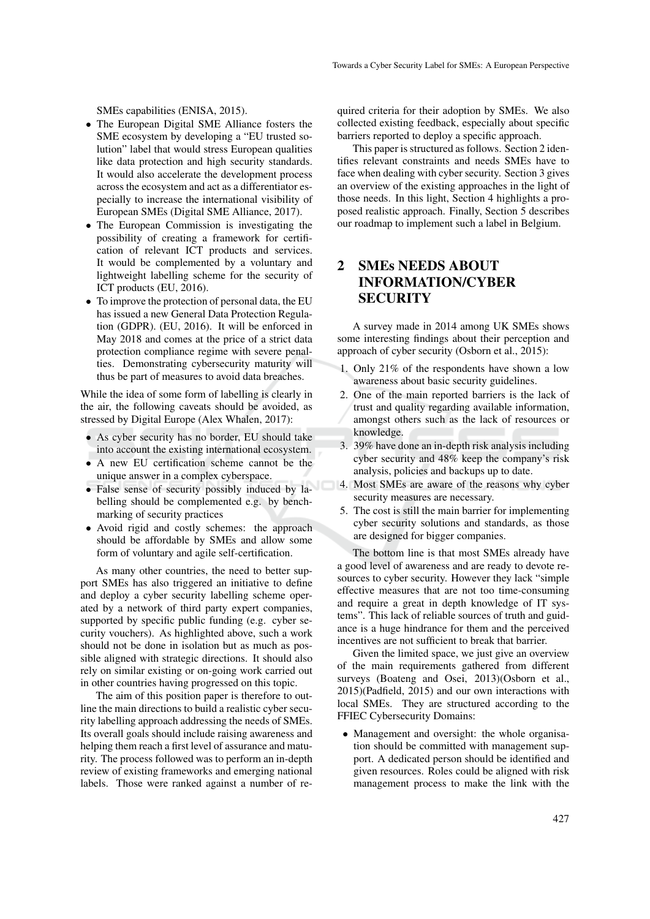SMEs capabilities (ENISA, 2015).

- The European Digital SME Alliance fosters the SME ecosystem by developing a "EU trusted solution" label that would stress European qualities like data protection and high security standards. It would also accelerate the development process across the ecosystem and act as a differentiator especially to increase the international visibility of European SMEs (Digital SME Alliance, 2017).
- The European Commission is investigating the possibility of creating a framework for certification of relevant ICT products and services. It would be complemented by a voluntary and lightweight labelling scheme for the security of ICT products (EU, 2016).
- To improve the protection of personal data, the EU has issued a new General Data Protection Regulation (GDPR). (EU, 2016). It will be enforced in May 2018 and comes at the price of a strict data protection compliance regime with severe penalties. Demonstrating cybersecurity maturity will thus be part of measures to avoid data breaches.

While the idea of some form of labelling is clearly in the air, the following caveats should be avoided, as stressed by Digital Europe (Alex Whalen, 2017):

- As cyber security has no border, EU should take into account the existing international ecosystem.
- A new EU certification scheme cannot be the unique answer in a complex cyberspace.
- False sense of security possibly induced by labelling should be complemented e.g. by benchmarking of security practices
- Avoid rigid and costly schemes: the approach should be affordable by SMEs and allow some form of voluntary and agile self-certification.

As many other countries, the need to better support SMEs has also triggered an initiative to define and deploy a cyber security labelling scheme operated by a network of third party expert companies, supported by specific public funding (e.g. cyber security vouchers). As highlighted above, such a work should not be done in isolation but as much as possible aligned with strategic directions. It should also rely on similar existing or on-going work carried out in other countries having progressed on this topic.

The aim of this position paper is therefore to outline the main directions to build a realistic cyber security labelling approach addressing the needs of SMEs. Its overall goals should include raising awareness and helping them reach a first level of assurance and maturity. The process followed was to perform an in-depth review of existing frameworks and emerging national labels. Those were ranked against a number of required criteria for their adoption by SMEs. We also collected existing feedback, especially about specific barriers reported to deploy a specific approach.

This paper is structured as follows. Section 2 identifies relevant constraints and needs SMEs have to face when dealing with cyber security. Section 3 gives an overview of the existing approaches in the light of those needs. In this light, Section 4 highlights a proposed realistic approach. Finally, Section 5 describes our roadmap to implement such a label in Belgium.

## 2 SMEs NEEDS ABOUT INFORMATION/CYBER **SECURITY**

A survey made in 2014 among UK SMEs shows some interesting findings about their perception and approach of cyber security (Osborn et al., 2015):

- 1. Only 21% of the respondents have shown a low awareness about basic security guidelines.
- 2. One of the main reported barriers is the lack of trust and quality regarding available information, amongst others such as the lack of resources or knowledge.
- 3. 39% have done an in-depth risk analysis including cyber security and 48% keep the company's risk analysis, policies and backups up to date.
- 4. Most SMEs are aware of the reasons why cyber security measures are necessary.
- 5. The cost is still the main barrier for implementing cyber security solutions and standards, as those are designed for bigger companies.

The bottom line is that most SMEs already have a good level of awareness and are ready to devote resources to cyber security. However they lack "simple effective measures that are not too time-consuming and require a great in depth knowledge of IT systems". This lack of reliable sources of truth and guidance is a huge hindrance for them and the perceived incentives are not sufficient to break that barrier.

Given the limited space, we just give an overview of the main requirements gathered from different surveys (Boateng and Osei, 2013)(Osborn et al., 2015)(Padfield, 2015) and our own interactions with local SMEs. They are structured according to the FFIEC Cybersecurity Domains:

• Management and oversight: the whole organisation should be committed with management support. A dedicated person should be identified and given resources. Roles could be aligned with risk management process to make the link with the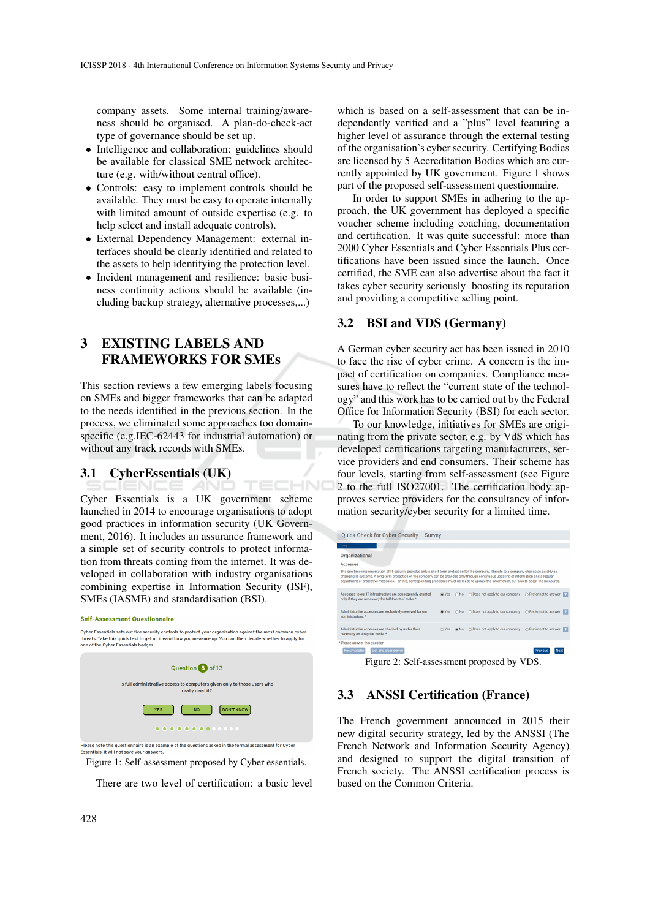company assets. Some internal training/awareness should be organised. A plan-do-check-act type of governance should be set up.

- Intelligence and collaboration: guidelines should be available for classical SME network architecture (e.g. with/without central office).
- Controls: easy to implement controls should be available. They must be easy to operate internally with limited amount of outside expertise (e.g. to help select and install adequate controls).
- External Dependency Management: external interfaces should be clearly identified and related to the assets to help identifying the protection level.
- Incident management and resilience: basic business continuity actions should be available (including backup strategy, alternative processes,...)

# 3 EXISTING LABELS AND FRAMEWORKS FOR SMEs

This section reviews a few emerging labels focusing on SMEs and bigger frameworks that can be adapted to the needs identified in the previous section. In the process, we eliminated some approaches too domainspecific (e.g.IEC-62443 for industrial automation) or without any track records with SMEs.

#### 3.1 CyberEssentials (UK)

Cyber Essentials is a UK government scheme launched in 2014 to encourage organisations to adopt good practices in information security (UK Government, 2016). It includes an assurance framework and a simple set of security controls to protect information from threats coming from the internet. It was developed in collaboration with industry organisations combining expertise in Information Security (ISF), SMEs (IASME) and standardisation (BSI).

**AND** 

TECHNO

#### **Self-Assessment Questionnaire**



Essentials It will not save your answers

Figure 1: Self-assessment proposed by Cyber essentials.

There are two level of certification: a basic level

which is based on a self-assessment that can be independently verified and a "plus" level featuring a higher level of assurance through the external testing of the organisation's cyber security. Certifying Bodies are licensed by 5 Accreditation Bodies which are currently appointed by UK government. Figure 1 shows part of the proposed self-assessment questionnaire.

In order to support SMEs in adhering to the approach, the UK government has deployed a specific voucher scheme including coaching, documentation and certification. It was quite successful: more than 2000 Cyber Essentials and Cyber Essentials Plus certifications have been issued since the launch. Once certified, the SME can also advertise about the fact it takes cyber security seriously boosting its reputation and providing a competitive selling point.

#### 3.2 BSI and VDS (Germany)

A German cyber security act has been issued in 2010 to face the rise of cyber crime. A concern is the impact of certification on companies. Compliance measures have to reflect the "current state of the technology" and this work has to be carried out by the Federal Office for Information Security (BSI) for each sector.

To our knowledge, initiatives for SMEs are originating from the private sector, e.g. by VdS which has developed certifications targeting manufacturers, service providers and end consumers. Their scheme has four levels, starting from self-assessment (see Figure 2 to the full ISO27001. The certification body approves service providers for the consultancy of information security/cyber security for a limited time.

| Quick-Check for Cyber-Security - Survey                                                                                                                                                                                                                                                                                                                                                                                                 |              |              |                                 |                         |  |  |  |  |  |  |
|-----------------------------------------------------------------------------------------------------------------------------------------------------------------------------------------------------------------------------------------------------------------------------------------------------------------------------------------------------------------------------------------------------------------------------------------|--------------|--------------|---------------------------------|-------------------------|--|--|--|--|--|--|
|                                                                                                                                                                                                                                                                                                                                                                                                                                         |              |              |                                 |                         |  |  |  |  |  |  |
| 17%                                                                                                                                                                                                                                                                                                                                                                                                                                     |              |              |                                 |                         |  |  |  |  |  |  |
| Organizational                                                                                                                                                                                                                                                                                                                                                                                                                          |              |              |                                 |                         |  |  |  |  |  |  |
| <b>Accesses</b>                                                                                                                                                                                                                                                                                                                                                                                                                         |              |              |                                 |                         |  |  |  |  |  |  |
| The one-time implementation of IT security provides only a short-term protection for the company. Threats to a company change as quickly as<br>changing IT systems. A long-term protection of the company can be provided only through continuous updating of information and a regular<br>adjustment of protective measures. For this, corresponding processes must be made to update the information, but also to adapt the measures. |              |              |                                 |                         |  |  |  |  |  |  |
| Accesses to our IT infrastructure are consequently granted<br>only if they are necessary for fulfilment of tasks *                                                                                                                                                                                                                                                                                                                      | @ Yes        | $\bigcap$ No | ○ Does not apply to our company | O Prefer not to answer  |  |  |  |  |  |  |
| Administrative accesses are exclusively reserved for our<br>administrators. *                                                                                                                                                                                                                                                                                                                                                           | <b>C</b> Yes | $\bigcap$ No | O Does not apply to our company | O Prefer not to answer  |  |  |  |  |  |  |
| Administrative accesses are checked by us for their<br>necessity on a regular basis. *                                                                                                                                                                                                                                                                                                                                                  | $\cap$ Yes   | <b>G</b> No  | O Does not apply to our company | O Prefer not to answer  |  |  |  |  |  |  |
| * Please answer this question                                                                                                                                                                                                                                                                                                                                                                                                           |              |              |                                 |                         |  |  |  |  |  |  |
| Exit and clear survey<br><b>Resume later</b>                                                                                                                                                                                                                                                                                                                                                                                            |              |              |                                 | <b>Next</b><br>Previous |  |  |  |  |  |  |
| $E_{\text{out}}$ 2. $\text{Colf}$ essessment proposed by VDS                                                                                                                                                                                                                                                                                                                                                                            |              |              |                                 |                         |  |  |  |  |  |  |

Figure 2: Self-assessment proposed by VDS.

#### 3.3 ANSSI Certification (France)

The French government announced in 2015 their new digital security strategy, led by the ANSSI (The French Network and Information Security Agency) and designed to support the digital transition of French society. The ANSSI certification process is based on the Common Criteria.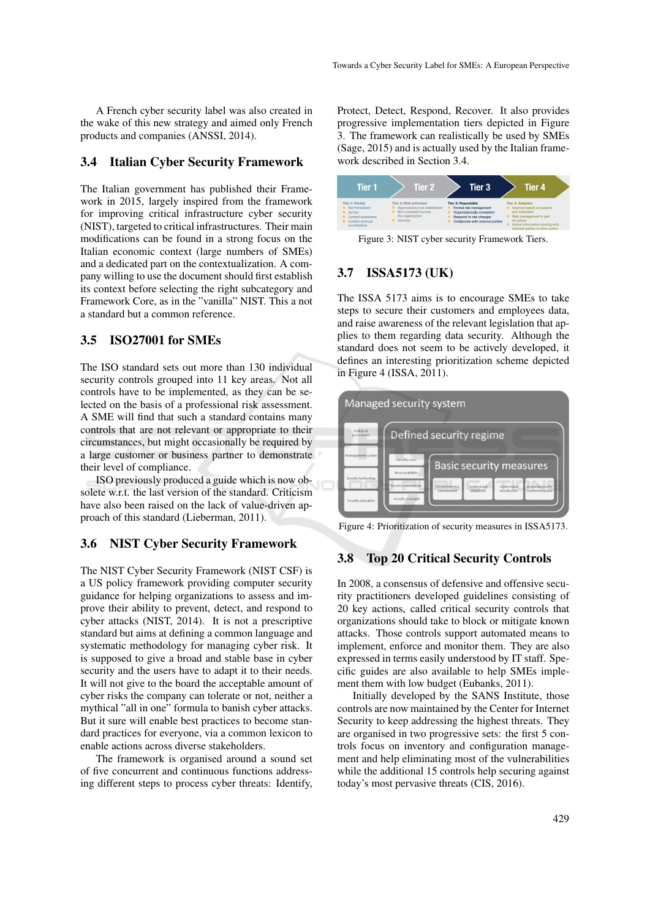A French cyber security label was also created in the wake of this new strategy and aimed only French products and companies (ANSSI, 2014).

#### 3.4 Italian Cyber Security Framework

The Italian government has published their Framework in 2015, largely inspired from the framework for improving critical infrastructure cyber security (NIST), targeted to critical infrastructures. Their main modifications can be found in a strong focus on the Italian economic context (large numbers of SMEs) and a dedicated part on the contextualization. A company willing to use the document should first establish its context before selecting the right subcategory and Framework Core, as in the "vanilla" NIST. This a not a standard but a common reference.

#### 3.5 ISO27001 for SMEs

The ISO standard sets out more than 130 individual security controls grouped into 11 key areas. Not all controls have to be implemented, as they can be selected on the basis of a professional risk assessment. A SME will find that such a standard contains many controls that are not relevant or appropriate to their circumstances, but might occasionally be required by a large customer or business partner to demonstrate their level of compliance.

ISO previously produced a guide which is now obsolete w.r.t. the last version of the standard. Criticism have also been raised on the lack of value-driven approach of this standard (Lieberman, 2011).

#### 3.6 NIST Cyber Security Framework

The NIST Cyber Security Framework (NIST CSF) is a US policy framework providing computer security guidance for helping organizations to assess and improve their ability to prevent, detect, and respond to cyber attacks (NIST, 2014). It is not a prescriptive standard but aims at defining a common language and systematic methodology for managing cyber risk. It is supposed to give a broad and stable base in cyber security and the users have to adapt it to their needs. It will not give to the board the acceptable amount of cyber risks the company can tolerate or not, neither a mythical "all in one" formula to banish cyber attacks. But it sure will enable best practices to become standard practices for everyone, via a common lexicon to enable actions across diverse stakeholders.

The framework is organised around a sound set of five concurrent and continuous functions addressing different steps to process cyber threats: Identify, Protect, Detect, Respond, Recover. It also provides progressive implementation tiers depicted in Figure 3. The framework can realistically be used by SMEs (Sage, 2015) and is actually used by the Italian framework described in Section 3.4.



Figure 3: NIST cyber security Framework Tiers.

### 3.7 ISSA5173 (UK)

The ISSA 5173 aims is to encourage SMEs to take steps to secure their customers and employees data, and raise awareness of the relevant legislation that applies to them regarding data security. Although the standard does not seem to be actively developed, it defines an interesting prioritization scheme depicted in Figure 4 (ISSA, 2011).



Figure 4: Prioritization of security measures in ISSA5173.

#### 3.8 Top 20 Critical Security Controls

In 2008, a consensus of defensive and offensive security practitioners developed guidelines consisting of 20 key actions, called critical security controls that organizations should take to block or mitigate known attacks. Those controls support automated means to implement, enforce and monitor them. They are also expressed in terms easily understood by IT staff. Specific guides are also available to help SMEs implement them with low budget (Eubanks, 2011).

Initially developed by the SANS Institute, those controls are now maintained by the Center for Internet Security to keep addressing the highest threats. They are organised in two progressive sets: the first 5 controls focus on inventory and configuration management and help eliminating most of the vulnerabilities while the additional 15 controls help securing against today's most pervasive threats (CIS, 2016).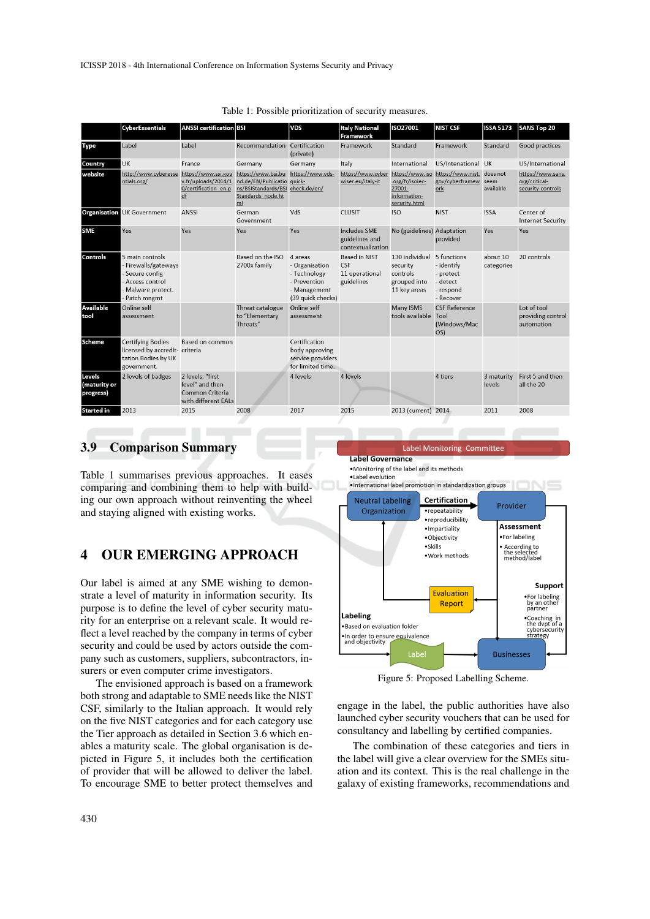|                                     | <b>CyberEssentials</b>                                                                                          | <b>ANSSI</b> certification BSI                                                |                                                                                           | <b>VDS</b>                                                                                     | <b>Italy National</b>                                                             | ISO27001                                                               | <b>NIST CSF</b>                                                              | <b>ISSA 5173</b>       | SANS Top 20                                             |
|-------------------------------------|-----------------------------------------------------------------------------------------------------------------|-------------------------------------------------------------------------------|-------------------------------------------------------------------------------------------|------------------------------------------------------------------------------------------------|-----------------------------------------------------------------------------------|------------------------------------------------------------------------|------------------------------------------------------------------------------|------------------------|---------------------------------------------------------|
|                                     |                                                                                                                 |                                                                               |                                                                                           |                                                                                                | Framework                                                                         |                                                                        |                                                                              |                        |                                                         |
| Type                                | Label                                                                                                           | Label                                                                         | Recommandation Certification                                                              | (private)                                                                                      | Framework                                                                         | Standard                                                               | Framework                                                                    | Standard               | Good practices                                          |
| Country                             | <b>UK</b>                                                                                                       | France                                                                        | Germany                                                                                   | Germany                                                                                        | Italy                                                                             | International                                                          | US/Intenational UK                                                           |                        | US/International                                        |
| website                             | http://www.cyberesse https://www.ssi.gou https://www.bsi.bu https://www.vds-<br>ntials.org/                     | v.fr/uploads/2014/1<br>0/certification en.p<br>df                             | nd.de/EN/Publicatio quick-<br>ns/BSIStandards/BSI check.de/en/<br>Standards node.ht<br>ml |                                                                                                | https://www.cyber_https://www.iso_https://www.nist._does.not<br>wiser.eu/italy-it | .org/fr/isoiec-<br>27001-<br>information-<br>security.html             | gov/cyberframew<br>ork                                                       | seem<br>available      | https://www.sans.<br>org/critical-<br>security-controls |
|                                     | <b>Organisation</b> UK Government                                                                               | <b>ANSSI</b>                                                                  | German<br>Government                                                                      | VdS                                                                                            | <b>CLUSIT</b>                                                                     | ISO                                                                    | <b>NIST</b>                                                                  | <b>ISSA</b>            | Center of<br><b>Internet Security</b>                   |
| <b>SME</b>                          | Yes                                                                                                             | Yes                                                                           | Yes                                                                                       | Yes                                                                                            | Includes SME<br>guidelines and<br>contextualization                               | No (guidelines) Adaptation                                             | provided                                                                     | Yes                    | Yes                                                     |
| Controls                            | 5 main controls<br>- Firewalls/gateways<br>Secure config<br>- Access control<br>Malware protect.<br>Patch mngmt |                                                                               | Based on the ISO<br>2700x family                                                          | 4 areas<br>- Organisation<br>- Technology<br>- Prevention<br>- Management<br>(39 quick checks) | <b>Based in NIST</b><br><b>CSF</b><br>11 operational<br>guidelines                | 130 individual<br>security<br>controls<br>grouped into<br>11 key areas | 5 functions<br>- identify<br>- protect<br>- detect<br>- respond<br>- Recover | about 10<br>categories | 20 controls                                             |
| <b>Available</b><br>tool            | Online self<br>assessment                                                                                       |                                                                               | Threat catalogue<br>to "Elementary<br>Threats"                                            | Online self<br>assessment                                                                      |                                                                                   | Many ISMS<br>tools available Tool                                      | <b>CSF Reference</b><br>(Windows/Mac<br>OS)                                  |                        | Lot of tool<br>providing control<br>automation          |
| <b>Scheme</b>                       | <b>Certifving Bodies</b><br>licensed by accredit- criteria<br>tation Bodies by UK<br>government.                | Based on common                                                               |                                                                                           | Certification<br>body approving<br>service providers<br>for limited time.                      |                                                                                   |                                                                        |                                                                              |                        |                                                         |
| Levels<br>(maturity or<br>progress) | 2 levels of badges                                                                                              | 2 levels: "first<br>level" and then<br>Common Criteria<br>with different EALs |                                                                                           | 4 levels                                                                                       | 4 levels                                                                          |                                                                        | 4 tiers                                                                      | 3 maturity<br>levels   | First 5 and then<br>all the 20                          |
| Started in                          | 2013                                                                                                            | 2015                                                                          | 2008                                                                                      | 2017                                                                                           | 2015                                                                              | 2013 (current) 2014                                                    |                                                                              | 2011                   | 2008                                                    |

Table 1: Possible prioritization of security measures.

#### 3.9 Comparison Summary

Table 1 summarises previous approaches. It eases comparing and combining them to help with building our own approach without reinventing the wheel and staying aligned with existing works.

## 4 OUR EMERGING APPROACH

Our label is aimed at any SME wishing to demonstrate a level of maturity in information security. Its purpose is to define the level of cyber security maturity for an enterprise on a relevant scale. It would reflect a level reached by the company in terms of cyber security and could be used by actors outside the company such as customers, suppliers, subcontractors, insurers or even computer crime investigators.

The envisioned approach is based on a framework both strong and adaptable to SME needs like the NIST CSF, similarly to the Italian approach. It would rely on the five NIST categories and for each category use the Tier approach as detailed in Section 3.6 which enables a maturity scale. The global organisation is depicted in Figure 5, it includes both the certification of provider that will be allowed to deliver the label. To encourage SME to better protect themselves and

Label Monitoring Committee

**Label Governance** •Monitoring of the label and its methods

al abel evolution



Figure 5: Proposed Labelling Scheme.

engage in the label, the public authorities have also launched cyber security vouchers that can be used for consultancy and labelling by certified companies.

The combination of these categories and tiers in the label will give a clear overview for the SMEs situation and its context. This is the real challenge in the galaxy of existing frameworks, recommendations and